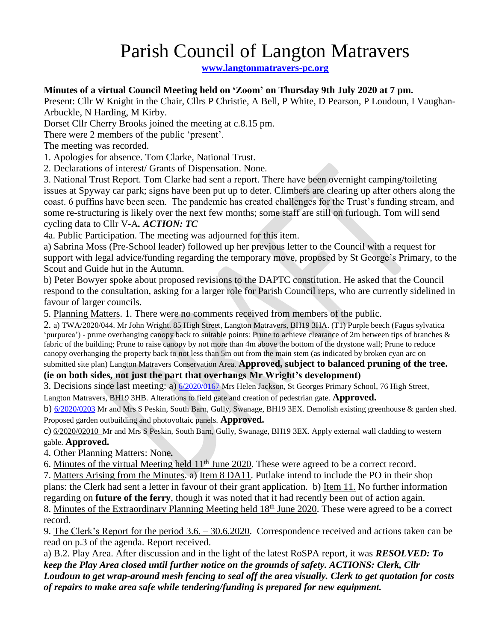## Parish Council of Langton Matravers

**[www.langtonmatravers-pc.org](http://www.langtonmatravers-pc.org/)**

## **Minutes of a virtual Council Meeting held on 'Zoom' on Thursday 9th July 2020 at 7 pm.**

Present: Cllr W Knight in the Chair, Cllrs P Christie, A Bell, P White, D Pearson, P Loudoun, I Vaughan-Arbuckle, N Harding, M Kirby.

Dorset Cllr Cherry Brooks joined the meeting at c.8.15 pm.

There were 2 members of the public 'present'.

The meeting was recorded.

1. Apologies for absence. Tom Clarke, National Trust.

2. Declarations of interest/ Grants of Dispensation. None.

3. National Trust Report. Tom Clarke had sent a report. There have been overnight camping/toileting issues at Spyway car park; signs have been put up to deter. Climbers are clearing up after others along the coast. 6 puffins have been seen. The pandemic has created challenges for the Trust's funding stream, and some re-structuring is likely over the next few months; some staff are still on furlough. Tom will send cycling data to Cllr V-A*. ACTION: TC*

4a. Public Participation. The meeting was adjourned for this item.

a) Sabrina Moss (Pre-School leader) followed up her previous letter to the Council with a request for support with legal advice/funding regarding the temporary move, proposed by St George's Primary, to the Scout and Guide hut in the Autumn.

b) Peter Bowyer spoke about proposed revisions to the DAPTC constitution. He asked that the Council respond to the consultation, asking for a larger role for Parish Council reps, who are currently sidelined in favour of larger councils.

5. Planning Matters. 1. There were no comments received from members of the public.

2. a) TWA/2020/044. Mr John Wright. 85 High Street, Langton Matravers, BH19 3HA. (T1) Purple beech (Fagus sylvatica 'purpurea') - prune overhanging canopy back to suitable points: Prune to achieve clearance of 2m between tips of branches & fabric of the building; Prune to raise canopy by not more than 4m above the bottom of the drystone wall; Prune to reduce canopy overhanging the property back to not less than 5m out from the main stem (as indicated by broken cyan arc on

submitted site plan) Langton Matravers Conservation Area. **Approved, subject to balanced pruning of the tree. (ie on both sides, not just the part that overhangs Mr Wright's development)**

3. Decisions since last meeting: a) [6/2020/0167](https://planningsearch.purbeck-dc.gov.uk/Planning/Display/6/2020/0167) Mrs Helen Jackson, St Georges Primary School, 76 High Street,

Langton Matravers, BH19 3HB. Alterations to field gate and creation of pedestrian gate. **Approved.**

b) [6/2020/0203](https://planningsearch.purbeck-dc.gov.uk/Planning/Display/6/2020/0203) Mr and Mrs S Peskin, South Barn, Gully, Swanage, BH19 3EX. Demolish existing greenhouse & garden shed. Proposed garden outbuilding and photovoltaic panels. **Approved.**

c) 6/2020/02010 Mr and Mrs S Peskin, South Barn, Gully, Swanage, BH19 3EX. Apply external wall cladding to western gable. **Approved.**

4. Other Planning Matters: None*.*

6. Minutes of the virtual Meeting held 11<sup>th</sup> June 2020. These were agreed to be a correct record.

7. Matters Arising from the Minutes. a) Item 8 DA11. Putlake intend to include the PO in their shop plans: the Clerk had sent a letter in favour of their grant application. b) Item 11. No further information regarding on **future of the ferry**, though it was noted that it had recently been out of action again. 8. Minutes of the Extraordinary Planning Meeting held 18<sup>th</sup> June 2020. These were agreed to be a correct

record.

9. The Clerk's Report for the period 3.6. – 30.6.2020. Correspondence received and actions taken can be read on p.3 of the agenda. Report received.

a) B.2. Play Area. After discussion and in the light of the latest RoSPA report, it was *RESOLVED: To keep the Play Area closed until further notice on the grounds of safety. ACTIONS: Clerk, Cllr Loudoun to get wrap-around mesh fencing to seal off the area visually. Clerk to get quotation for costs of repairs to make area safe while tendering/funding is prepared for new equipment.*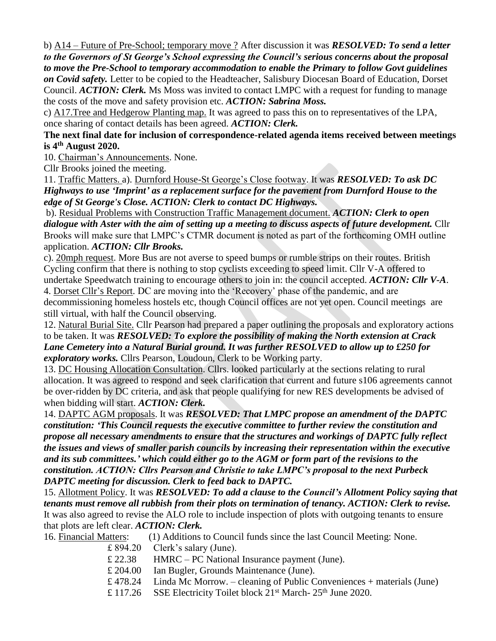b) A14 – Future of Pre-School; temporary move ? After discussion it was *RESOLVED: To send a letter to the Governors of St George's School expressing the Council's serious concerns about the proposal to move the Pre-School to temporary accommodation to enable the Primary to follow Govt guidelines on Covid safety.* Letter to be copied to the Headteacher, Salisbury Diocesan Board of Education, Dorset Council. *ACTION: Clerk.* Ms Moss was invited to contact LMPC with a request for funding to manage the costs of the move and safety provision etc. *ACTION: Sabrina Moss.*

c) A17.Tree and Hedgerow Planting map. It was agreed to pass this on to representatives of the LPA, once sharing of contact details has been agreed. *ACTION: Clerk.*

**The next final date for inclusion of correspondence-related agenda items received between meetings is 4th August 2020.**

10. Chairman's Announcements. None.

Cllr Brooks joined the meeting.

11. Traffic Matters. a). Durnford House-St George's Close footway. It was *RESOLVED: To ask DC Highways to use 'Imprint' as a replacement surface for the pavement from Durnford House to the edge of St George's Close. ACTION: Clerk to contact DC Highways.*

b). Residual Problems with Construction Traffic Management document. *ACTION: Clerk to open dialogue with Aster with the aim of setting up a meeting to discuss aspects of future development.* Cllr Brooks will make sure that LMPC's CTMR document is noted as part of the forthcoming OMH outline application. *ACTION: Cllr Brooks.* 

c). 20mph request. More Bus are not averse to speed bumps or rumble strips on their routes. British Cycling confirm that there is nothing to stop cyclists exceeding to speed limit. Cllr V-A offered to undertake Speedwatch training to encourage others to join in: the council accepted. *ACTION: Cllr V-A*.

4. Dorset Cllr's Report. DC are moving into the 'Recovery' phase of the pandemic, and are decommissioning homeless hostels etc, though Council offices are not yet open. Council meetings are still virtual, with half the Council observing.

12. Natural Burial Site. Cllr Pearson had prepared a paper outlining the proposals and exploratory actions to be taken. It was *RESOLVED: To explore the possibility of making the North extension at Crack Lane Cemetery into a Natural Burial ground. It was further RESOLVED to allow up to £250 for exploratory works.* Cllrs Pearson, Loudoun, Clerk to be Working party.

13. DC Housing Allocation Consultation. Cllrs. looked particularly at the sections relating to rural allocation. It was agreed to respond and seek clarification that current and future s106 agreements cannot be over-ridden by DC criteria, and ask that people qualifying for new RES developments be advised of when bidding will start. *ACTION: Clerk.*

14. DAPTC AGM proposals. It was *RESOLVED: That LMPC propose an amendment of the DAPTC constitution: 'This Council requests the executive committee to further review the constitution and propose all necessary amendments to ensure that the structures and workings of DAPTC fully reflect the issues and views of smaller parish councils by increasing their representation within the executive and its sub committees.' which could either go to the AGM or form part of the revisions to the constitution. ACTION: Cllrs Pearson and Christie to take LMPC's proposal to the next Purbeck DAPTC meeting for discussion. Clerk to feed back to DAPTC.* 

15. Allotment Policy. It was *RESOLVED: To add a clause to the Council's Allotment Policy saying that tenants must remove all rubbish from their plots on termination of tenancy. ACTION: Clerk to revise.* It was also agreed to revise the ALO role to include inspection of plots with outgoing tenants to ensure that plots are left clear. *ACTION: Clerk.*

| 16. Financial Matters: | (1) Additions to Council funds since the last Council Meeting: None. |
|------------------------|----------------------------------------------------------------------|
|------------------------|----------------------------------------------------------------------|

- £ 894.20 Clerk's salary (June).
- £ 22.38 HMRC PC National Insurance payment (June).
- £ 204.00 Ian Bugler, Grounds Maintenance (June).
- £ 478.24 Linda Mc Morrow. cleaning of Public Conveniences + materials (June)
- £ 117.26 SSE Electricity Toilet block  $21<sup>st</sup>$  March- $25<sup>th</sup>$  June 2020.